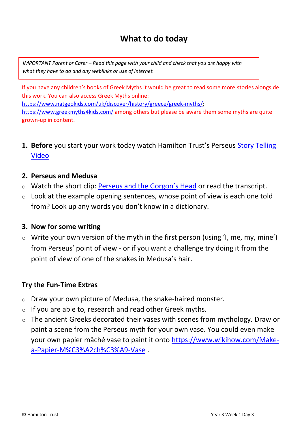# **What to do today**

*IMPORTANT Parent or Carer – Read this page with your child and check that you are happy with what they have to do and any weblinks or use of internet.* 

If you have any children's books of Greek Myths it would be great to read some more stories alongside this work. You can also access Greek Myths online: [https://www.natgeokids.com/uk/discover/history/greece/greek-myths/;](https://www.natgeokids.com/uk/discover/history/greece/greek-myths/) <https://www.greekmyths4kids.com/> among others but please be aware them some myths are quite grown-up in content.

**1. Before** you start your work today watch Hamilton Trust's Perseus [Story Telling](https://www.youtube.com/watch?v=vd5jHUlDUxw&list=PL6WSEV4uNJJ0GDeYcar7fJkdW3bGtwZzS&index=5&t=0s)  [Video](https://www.youtube.com/watch?v=vd5jHUlDUxw&list=PL6WSEV4uNJJ0GDeYcar7fJkdW3bGtwZzS&index=5&t=0s)

#### **2. Perseus and Medusa**

- o Watch the short clip: [Perseus and the Gorgon'](https://www.youtube.com/watch?v=qbYkejgeAXc)s Head or read the transcript.
- $\circ$  Look at the example opening sentences, whose point of view is each one told from? Look up any words you don't know in a dictionary.

#### **3. Now for some writing**

o Write your own version of the myth in the first person (using 'I, me, my, mine') from Perseus' point of view - or if you want a challenge try doing it from the point of view of one of the snakes in Medusa's hair.

#### **Try the Fun-Time Extras**

- o Draw your own picture of Medusa, the snake-haired monster.
- $\circ$  If you are able to, research and read other Greek myths.
- o The ancient Greeks decorated their vases with scenes from mythology. Draw or paint a scene from the Perseus myth for your own vase. You could even make your own papier mâché vase to paint it onto [https://www.wikihow.com/Make](https://www.wikihow.com/Make-a-Papier-M%C3%A2ch%C3%A9-Vase)[a-Papier-M%C3%A2ch%C3%A9-Vase](https://www.wikihow.com/Make-a-Papier-M%C3%A2ch%C3%A9-Vase) .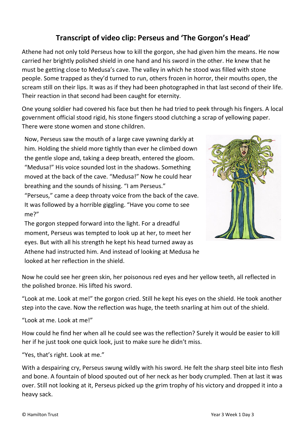## **Transcript of video clip: Perseus and 'The Gorgon's Head'**

Athene had not only told Perseus how to kill the gorgon, she had given him the means. He now carried her brightly polished shield in one hand and his sword in the other. He knew that he must be getting close to Medusa's cave. The valley in which he stood was filled with stone people. Some trapped as they'd turned to run, others frozen in horror, their mouths open, the scream still on their lips. It was as if they had been photographed in that last second of their life. Their reaction in that second had been caught for eternity.

One young soldier had covered his face but then he had tried to peek through his fingers. A local government official stood rigid, his stone fingers stood clutching a scrap of yellowing paper. There were stone women and stone children.

Now, Perseus saw the mouth of a large cave yawning darkly at him. Holding the shield more tightly than ever he climbed down the gentle slope and, taking a deep breath, entered the gloom. "Medusa!" His voice sounded lost in the shadows. Something moved at the back of the cave. "Medusa!" Now he could hear breathing and the sounds of hissing. "I am Perseus."

"Perseus," came a deep throaty voice from the back of the cave. It was followed by a horrible giggling. "Have you come to see me?"

The gorgon stepped forward into the light. For a dreadful moment, Perseus was tempted to look up at her, to meet her eyes. But with all his strength he kept his head turned away as Athene had instructed him. And instead of looking at Medusa he looked at her reflection in the shield.



Now he could see her green skin, her poisonous red eyes and her yellow teeth, all reflected in the polished bronze. His lifted his sword.

"Look at me. Look at me!" the gorgon cried. Still he kept his eyes on the shield. He took another step into the cave. Now the reflection was huge, the teeth snarling at him out of the shield.

"Look at me. Look at me!"

How could he find her when all he could see was the reflection? Surely it would be easier to kill her if he just took one quick look, just to make sure he didn't miss.

"Yes, that's right. Look at me."

With a despairing cry, Perseus swung wildly with his sword. He felt the sharp steel bite into flesh and bone. A fountain of blood spouted out of her neck as her body crumpled. Then at last it was over. Still not looking at it, Perseus picked up the grim trophy of his victory and dropped it into a heavy sack.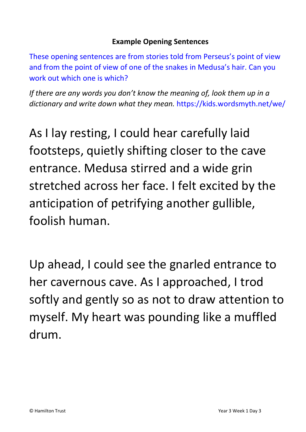### **Example Opening Sentences**

These opening sentences are from stories told from Perseus's point of view and from the point of view of one of the snakes in Medusa's hair. Can you work out which one is which?

*If there are any words you don't know the meaning of, look them up in a dictionary and write down what they mean.* https://kids.wordsmyth.net/we/

As I lay resting, I could hear carefully laid footsteps, quietly shifting closer to the cave entrance. Medusa stirred and a wide grin stretched across her face. I felt excited by the anticipation of petrifying another gullible, foolish human.

Up ahead, I could see the gnarled entrance to her cavernous cave. As I approached, I trod softly and gently so as not to draw attention to myself. My heart was pounding like a muffled drum.